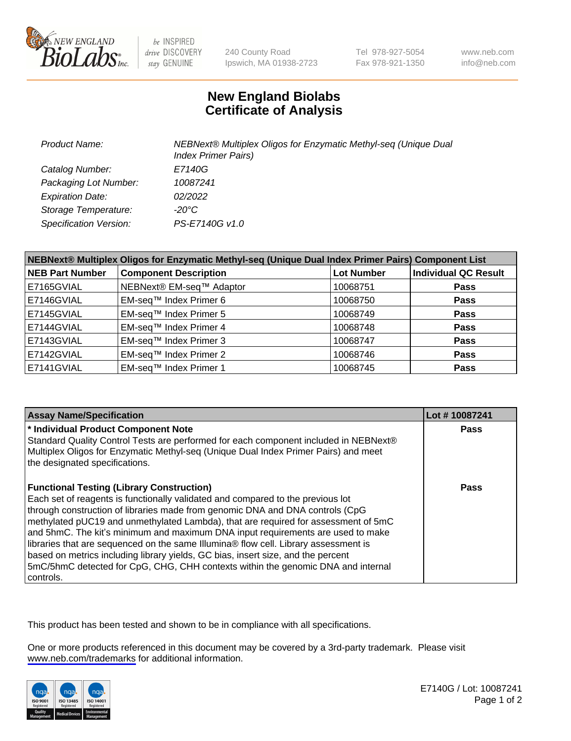

be INSPIRED drive DISCOVERY stay GENUINE

240 County Road Ipswich, MA 01938-2723 Tel 978-927-5054 Fax 978-921-1350

www.neb.com info@neb.com

## **New England Biolabs Certificate of Analysis**

| <b>Product Name:</b>          | NEBNext® Multiplex Oligos for Enzymatic Methyl-seq (Unique Dual<br><b>Index Primer Pairs)</b> |
|-------------------------------|-----------------------------------------------------------------------------------------------|
| Catalog Number:               | E7140G                                                                                        |
| Packaging Lot Number:         | 10087241                                                                                      |
| <b>Expiration Date:</b>       | 02/2022                                                                                       |
| Storage Temperature:          | $-20^{\circ}$ C                                                                               |
| <b>Specification Version:</b> | PS-E7140G v1.0                                                                                |

| NEBNext® Multiplex Oligos for Enzymatic Methyl-seq (Unique Dual Index Primer Pairs) Component List |                              |                   |                             |  |
|----------------------------------------------------------------------------------------------------|------------------------------|-------------------|-----------------------------|--|
| <b>NEB Part Number</b>                                                                             | <b>Component Description</b> | <b>Lot Number</b> | <b>Individual QC Result</b> |  |
| E7165GVIAL                                                                                         | NEBNext® EM-seq™ Adaptor     | 10068751          | <b>Pass</b>                 |  |
| E7146GVIAL                                                                                         | EM-seq™ Index Primer 6       | 10068750          | <b>Pass</b>                 |  |
| E7145GVIAL                                                                                         | EM-seq™ Index Primer 5       | 10068749          | <b>Pass</b>                 |  |
| E7144GVIAL                                                                                         | EM-seq™ Index Primer 4       | 10068748          | <b>Pass</b>                 |  |
| E7143GVIAL                                                                                         | EM-seq™ Index Primer 3       | 10068747          | <b>Pass</b>                 |  |
| E7142GVIAL                                                                                         | EM-seq™ Index Primer 2       | 10068746          | <b>Pass</b>                 |  |
| E7141GVIAL                                                                                         | EM-seq™ Index Primer 1       | 10068745          | <b>Pass</b>                 |  |

| <b>Assay Name/Specification</b>                                                                                                                                             | Lot #10087241 |
|-----------------------------------------------------------------------------------------------------------------------------------------------------------------------------|---------------|
| * Individual Product Component Note                                                                                                                                         | <b>Pass</b>   |
| Standard Quality Control Tests are performed for each component included in NEBNext®<br>Multiplex Oligos for Enzymatic Methyl-seq (Unique Dual Index Primer Pairs) and meet |               |
| the designated specifications.                                                                                                                                              |               |
| <b>Functional Testing (Library Construction)</b>                                                                                                                            | Pass          |
| Each set of reagents is functionally validated and compared to the previous lot                                                                                             |               |
| through construction of libraries made from genomic DNA and DNA controls (CpG                                                                                               |               |
| methylated pUC19 and unmethylated Lambda), that are required for assessment of 5mC                                                                                          |               |
| and 5hmC. The kit's minimum and maximum DNA input requirements are used to make                                                                                             |               |
| libraries that are sequenced on the same Illumina® flow cell. Library assessment is                                                                                         |               |
| based on metrics including library yields, GC bias, insert size, and the percent                                                                                            |               |
| 5mC/5hmC detected for CpG, CHG, CHH contexts within the genomic DNA and internal                                                                                            |               |
| controls.                                                                                                                                                                   |               |

This product has been tested and shown to be in compliance with all specifications.

One or more products referenced in this document may be covered by a 3rd-party trademark. Please visit <www.neb.com/trademarks>for additional information.